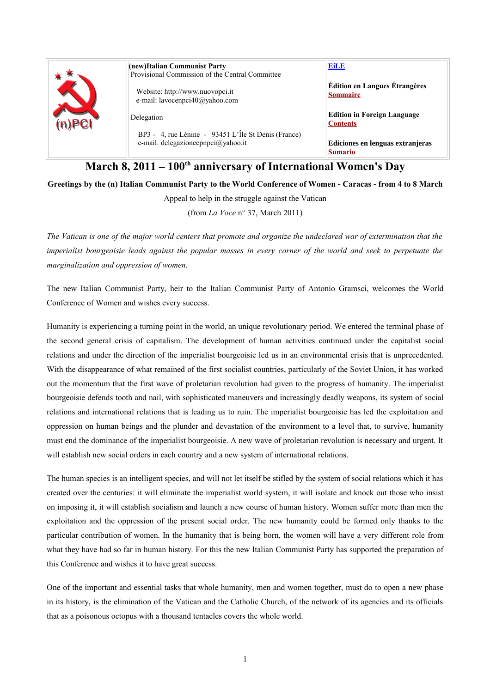|  | (new)Italian Communist Party                                                              | <b>EiLE</b>                                             |
|--|-------------------------------------------------------------------------------------------|---------------------------------------------------------|
|  | Provisional Commission of the Central Committee                                           |                                                         |
|  | Website: http://www.nuovopci.it<br>e-mail: lavocenpci40@yahoo.com                         | <b>Édition en Langues Étrangères</b><br><b>Sommaire</b> |
|  | Delegation                                                                                | <b>Edition in Foreign Language</b><br><b>Contents</b>   |
|  | BP3 - 4, rue Lénine - 93451 L'Île St Denis (France)<br>e-mail: delegazionecpnpci@yahoo.it | Ediciones en lenguas extranjeras<br><b>Sumario</b>      |

## **March 8, 2011 – 100th anniversary of International Women's Day**

**Greetings by the (n) Italian Communist Party to the World Conference of Women - Caracas - from 4 to 8 March**

Appeal to help in the struggle against the Vatican

(from *La Voce* n° 37, March 2011)

*The Vatican is one of the major world centers that promote and organize the undeclared war of extermination that the imperialist bourgeoisie leads against the popular masses in every corner of the world and seek to perpetuate the marginalization and oppression of women.* 

The new Italian Communist Party, heir to the Italian Communist Party of Antonio Gramsci, welcomes the World Conference of Women and wishes every success.

Humanity is experiencing a turning point in the world, an unique revolutionary period. We entered the terminal phase of the second general crisis of capitalism. The development of human activities continued under the capitalist social relations and under the direction of the imperialist bourgeoisie led us in an environmental crisis that is unprecedented. With the disappearance of what remained of the first socialist countries, particularly of the Soviet Union, it has worked out the momentum that the first wave of proletarian revolution had given to the progress of humanity. The imperialist bourgeoisie defends tooth and nail, with sophisticated maneuvers and increasingly deadly weapons, its system of social relations and international relations that is leading us to ruin. The imperialist bourgeoisie has led the exploitation and oppression on human beings and the plunder and devastation of the environment to a level that, to survive, humanity must end the dominance of the imperialist bourgeoisie. A new wave of proletarian revolution is necessary and urgent. It will establish new social orders in each country and a new system of international relations.

The human species is an intelligent species, and will not let itself be stifled by the system of social relations which it has created over the centuries: it will eliminate the imperialist world system, it will isolate and knock out those who insist on imposing it, it will establish socialism and launch a new course of human history. Women suffer more than men the exploitation and the oppression of the present social order. The new humanity could be formed only thanks to the particular contribution of women. In the humanity that is being born, the women will have a very different role from what they have had so far in human history. For this the new Italian Communist Party has supported the preparation of this Conference and wishes it to have great success.

One of the important and essential tasks that whole humanity, men and women together, must do to open a new phase in its history, is the elimination of the Vatican and the Catholic Church, of the network of its agencies and its officials that as a poisonous octopus with a thousand tentacles covers the whole world.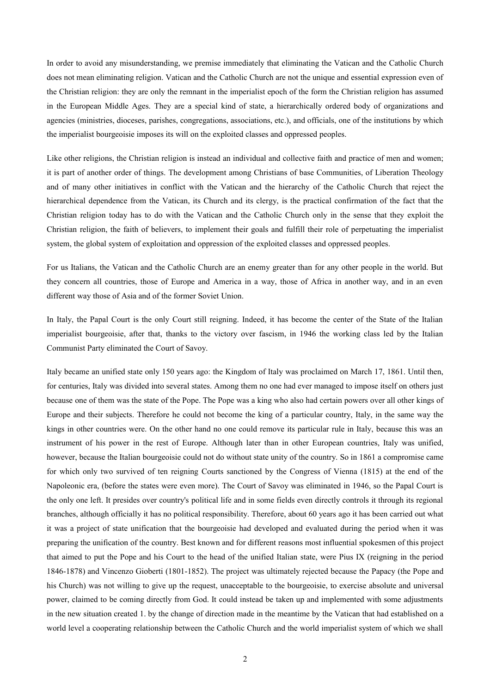In order to avoid any misunderstanding, we premise immediately that eliminating the Vatican and the Catholic Church does not mean eliminating religion. Vatican and the Catholic Church are not the unique and essential expression even of the Christian religion: they are only the remnant in the imperialist epoch of the form the Christian religion has assumed in the European Middle Ages. They are a special kind of state, a hierarchically ordered body of organizations and agencies (ministries, dioceses, parishes, congregations, associations, etc.), and officials, one of the institutions by which the imperialist bourgeoisie imposes its will on the exploited classes and oppressed peoples.

Like other religions, the Christian religion is instead an individual and collective faith and practice of men and women; it is part of another order of things. The development among Christians of base Communities, of Liberation Theology and of many other initiatives in conflict with the Vatican and the hierarchy of the Catholic Church that reject the hierarchical dependence from the Vatican, its Church and its clergy, is the practical confirmation of the fact that the Christian religion today has to do with the Vatican and the Catholic Church only in the sense that they exploit the Christian religion, the faith of believers, to implement their goals and fulfill their role of perpetuating the imperialist system, the global system of exploitation and oppression of the exploited classes and oppressed peoples.

For us Italians, the Vatican and the Catholic Church are an enemy greater than for any other people in the world. But they concern all countries, those of Europe and America in a way, those of Africa in another way, and in an even different way those of Asia and of the former Soviet Union.

In Italy, the Papal Court is the only Court still reigning. Indeed, it has become the center of the State of the Italian imperialist bourgeoisie, after that, thanks to the victory over fascism, in 1946 the working class led by the Italian Communist Party eliminated the Court of Savoy.

Italy became an unified state only 150 years ago: the Kingdom of Italy was proclaimed on March 17, 1861. Until then, for centuries, Italy was divided into several states. Among them no one had ever managed to impose itself on others just because one of them was the state of the Pope. The Pope was a king who also had certain powers over all other kings of Europe and their subjects. Therefore he could not become the king of a particular country, Italy, in the same way the kings in other countries were. On the other hand no one could remove its particular rule in Italy, because this was an instrument of his power in the rest of Europe. Although later than in other European countries, Italy was unified, however, because the Italian bourgeoisie could not do without state unity of the country. So in 1861 a compromise came for which only two survived of ten reigning Courts sanctioned by the Congress of Vienna (1815) at the end of the Napoleonic era, (before the states were even more). The Court of Savoy was eliminated in 1946, so the Papal Court is the only one left. It presides over country's political life and in some fields even directly controls it through its regional branches, although officially it has no political responsibility. Therefore, about 60 years ago it has been carried out what it was a project of state unification that the bourgeoisie had developed and evaluated during the period when it was preparing the unification of the country. Best known and for different reasons most influential spokesmen of this project that aimed to put the Pope and his Court to the head of the unified Italian state, were Pius IX (reigning in the period 1846-1878) and Vincenzo Gioberti (1801-1852). The project was ultimately rejected because the Papacy (the Pope and his Church) was not willing to give up the request, unacceptable to the bourgeoisie, to exercise absolute and universal power, claimed to be coming directly from God. It could instead be taken up and implemented with some adjustments in the new situation created 1. by the change of direction made in the meantime by the Vatican that had established on a world level a cooperating relationship between the Catholic Church and the world imperialist system of which we shall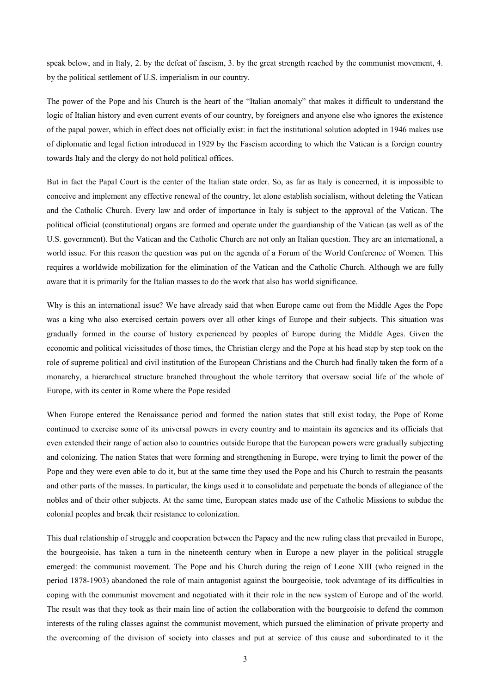speak below, and in Italy, 2. by the defeat of fascism, 3. by the great strength reached by the communist movement, 4. by the political settlement of U.S. imperialism in our country.

The power of the Pope and his Church is the heart of the "Italian anomaly" that makes it difficult to understand the logic of Italian history and even current events of our country, by foreigners and anyone else who ignores the existence of the papal power, which in effect does not officially exist: in fact the institutional solution adopted in 1946 makes use of diplomatic and legal fiction introduced in 1929 by the Fascism according to which the Vatican is a foreign country towards Italy and the clergy do not hold political offices.

But in fact the Papal Court is the center of the Italian state order. So, as far as Italy is concerned, it is impossible to conceive and implement any effective renewal of the country, let alone establish socialism, without deleting the Vatican and the Catholic Church. Every law and order of importance in Italy is subject to the approval of the Vatican. The political official (constitutional) organs are formed and operate under the guardianship of the Vatican (as well as of the U.S. government). But the Vatican and the Catholic Church are not only an Italian question. They are an international, a world issue. For this reason the question was put on the agenda of a Forum of the World Conference of Women. This requires a worldwide mobilization for the elimination of the Vatican and the Catholic Church. Although we are fully aware that it is primarily for the Italian masses to do the work that also has world significance.

Why is this an international issue? We have already said that when Europe came out from the Middle Ages the Pope was a king who also exercised certain powers over all other kings of Europe and their subjects. This situation was gradually formed in the course of history experienced by peoples of Europe during the Middle Ages. Given the economic and political vicissitudes of those times, the Christian clergy and the Pope at his head step by step took on the role of supreme political and civil institution of the European Christians and the Church had finally taken the form of a monarchy, a hierarchical structure branched throughout the whole territory that oversaw social life of the whole of Europe, with its center in Rome where the Pope resided

When Europe entered the Renaissance period and formed the nation states that still exist today, the Pope of Rome continued to exercise some of its universal powers in every country and to maintain its agencies and its officials that even extended their range of action also to countries outside Europe that the European powers were gradually subjecting and colonizing. The nation States that were forming and strengthening in Europe, were trying to limit the power of the Pope and they were even able to do it, but at the same time they used the Pope and his Church to restrain the peasants and other parts of the masses. In particular, the kings used it to consolidate and perpetuate the bonds of allegiance of the nobles and of their other subjects. At the same time, European states made use of the Catholic Missions to subdue the colonial peoples and break their resistance to colonization.

This dual relationship of struggle and cooperation between the Papacy and the new ruling class that prevailed in Europe, the bourgeoisie, has taken a turn in the nineteenth century when in Europe a new player in the political struggle emerged: the communist movement. The Pope and his Church during the reign of Leone XIII (who reigned in the period 1878-1903) abandoned the role of main antagonist against the bourgeoisie, took advantage of its difficulties in coping with the communist movement and negotiated with it their role in the new system of Europe and of the world. The result was that they took as their main line of action the collaboration with the bourgeoisie to defend the common interests of the ruling classes against the communist movement, which pursued the elimination of private property and the overcoming of the division of society into classes and put at service of this cause and subordinated to it the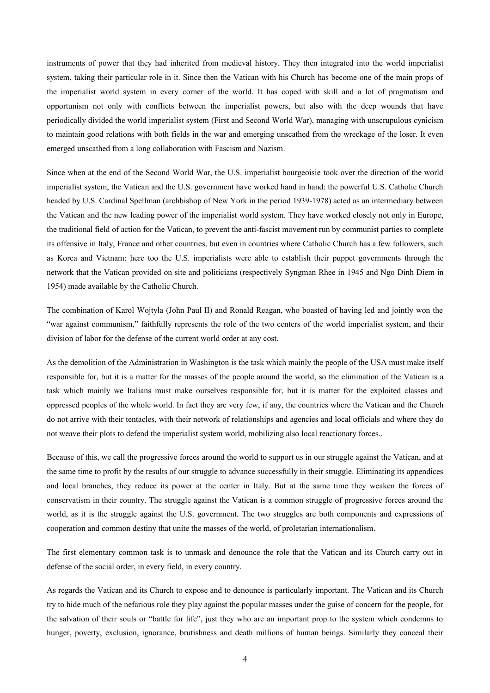instruments of power that they had inherited from medieval history. They then integrated into the world imperialist system, taking their particular role in it. Since then the Vatican with his Church has become one of the main props of the imperialist world system in every corner of the world. It has coped with skill and a lot of pragmatism and opportunism not only with conflicts between the imperialist powers, but also with the deep wounds that have periodically divided the world imperialist system (First and Second World War), managing with unscrupulous cynicism to maintain good relations with both fields in the war and emerging unscathed from the wreckage of the loser. It even emerged unscathed from a long collaboration with Fascism and Nazism.

Since when at the end of the Second World War, the U.S. imperialist bourgeoisie took over the direction of the world imperialist system, the Vatican and the U.S. government have worked hand in hand: the powerful U.S. Catholic Church headed by U.S. Cardinal Spellman (archbishop of New York in the period 1939-1978) acted as an intermediary between the Vatican and the new leading power of the imperialist world system. They have worked closely not only in Europe, the traditional field of action for the Vatican, to prevent the anti-fascist movement run by communist parties to complete its offensive in Italy, France and other countries, but even in countries where Catholic Church has a few followers, such as Korea and Vietnam: here too the U.S. imperialists were able to establish their puppet governments through the network that the Vatican provided on site and politicians (respectively Syngman Rhee in 1945 and Ngo Dinh Diem in 1954) made available by the Catholic Church.

The combination of Karol Wojtyla (John Paul II) and Ronald Reagan, who boasted of having led and jointly won the "war against communism," faithfully represents the role of the two centers of the world imperialist system, and their division of labor for the defense of the current world order at any cost.

As the demolition of the Administration in Washington is the task which mainly the people of the USA must make itself responsible for, but it is a matter for the masses of the people around the world, so the elimination of the Vatican is a task which mainly we Italians must make ourselves responsible for, but it is matter for the exploited classes and oppressed peoples of the whole world. In fact they are very few, if any, the countries where the Vatican and the Church do not arrive with their tentacles, with their network of relationships and agencies and local officials and where they do not weave their plots to defend the imperialist system world, mobilizing also local reactionary forces..

Because of this, we call the progressive forces around the world to support us in our struggle against the Vatican, and at the same time to profit by the results of our struggle to advance successfully in their struggle. Eliminating its appendices and local branches, they reduce its power at the center in Italy. But at the same time they weaken the forces of conservatism in their country. The struggle against the Vatican is a common struggle of progressive forces around the world, as it is the struggle against the U.S. government. The two struggles are both components and expressions of cooperation and common destiny that unite the masses of the world, of proletarian internationalism.

The first elementary common task is to unmask and denounce the role that the Vatican and its Church carry out in defense of the social order, in every field, in every country.

As regards the Vatican and its Church to expose and to denounce is particularly important. The Vatican and its Church try to hide much of the nefarious role they play against the popular masses under the guise of concern for the people, for the salvation of their souls or "battle for life", just they who are an important prop to the system which condemns to hunger, poverty, exclusion, ignorance, brutishness and death millions of human beings. Similarly they conceal their